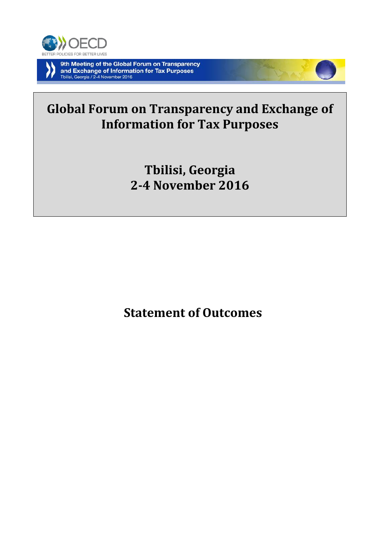

# **Global Forum on Transparency and Exchange of Information for Tax Purposes**

**Tbilisi, Georgia 2-4 November 2016**

**Statement of Outcomes**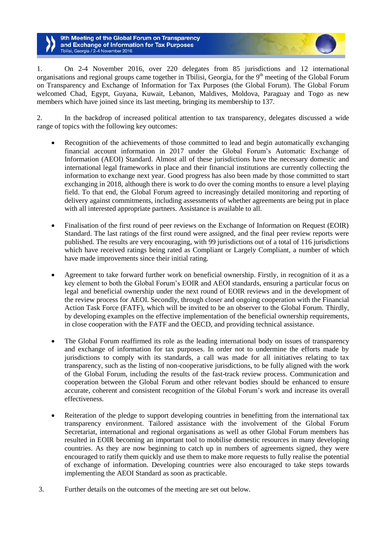1. On 2-4 November 2016, over 220 delegates from 85 jurisdictions and 12 international organisations and regional groups came together in Tbilisi, Georgia, for the 9<sup>th</sup> meeting of the Global Forum on Transparency and Exchange of Information for Tax Purposes (the Global Forum). The Global Forum welcomed Chad, Egypt, Guyana, Kuwait, Lebanon, Maldives, Moldova, Paraguay and Togo as new members which have joined since its last meeting, bringing its membership to 137.

2. In the backdrop of increased political attention to tax transparency, delegates discussed a wide range of topics with the following key outcomes:

- Recognition of the achievements of those committed to lead and begin automatically exchanging financial account information in 2017 under the Global Forum's Automatic Exchange of Information (AEOI) Standard. Almost all of these jurisdictions have the necessary domestic and international legal frameworks in place and their financial institutions are currently collecting the information to exchange next year. Good progress has also been made by those committed to start exchanging in 2018, although there is work to do over the coming months to ensure a level playing field. To that end, the Global Forum agreed to increasingly detailed monitoring and reporting of delivery against commitments, including assessments of whether agreements are being put in place with all interested appropriate partners. Assistance is available to all.
- Finalisation of the first round of peer reviews on the Exchange of Information on Request (EOIR) Standard. The last ratings of the first round were assigned, and the final peer review reports were published. The results are very encouraging, with 99 jurisdictions out of a total of 116 jurisdictions which have received ratings being rated as Compliant or Largely Compliant, a number of which have made improvements since their initial rating.
- Agreement to take forward further work on beneficial ownership. Firstly, in recognition of it as a key element to both the Global Forum's EOIR and AEOI standards, ensuring a particular focus on legal and beneficial ownership under the next round of EOIR reviews and in the development of the review process for AEOI. Secondly, through closer and ongoing cooperation with the Financial Action Task Force (FATF), which will be invited to be an observer to the Global Forum. Thirdly, by developing examples on the effective implementation of the beneficial ownership requirements, in close cooperation with the FATF and the OECD, and providing technical assistance.
- The Global Forum reaffirmed its role as the leading international body on issues of transparency and exchange of information for tax purposes. In order not to undermine the efforts made by jurisdictions to comply with its standards, a call was made for all initiatives relating to tax transparency, such as the listing of non-cooperative jurisdictions, to be fully aligned with the work of the Global Forum, including the results of the fast-track review process. Communication and cooperation between the Global Forum and other relevant bodies should be enhanced to ensure accurate, coherent and consistent recognition of the Global Forum's work and increase its overall effectiveness.
- Reiteration of the pledge to support developing countries in benefitting from the international tax transparency environment. Tailored assistance with the involvement of the Global Forum Secretariat, international and regional organisations as well as other Global Forum members has resulted in EOIR becoming an important tool to mobilise domestic resources in many developing countries. As they are now beginning to catch up in numbers of agreements signed, they were encouraged to ratify them quickly and use them to make more requests to fully realise the potential of exchange of information. Developing countries were also encouraged to take steps towards implementing the AEOI Standard as soon as practicable.
- 3. Further details on the outcomes of the meeting are set out below.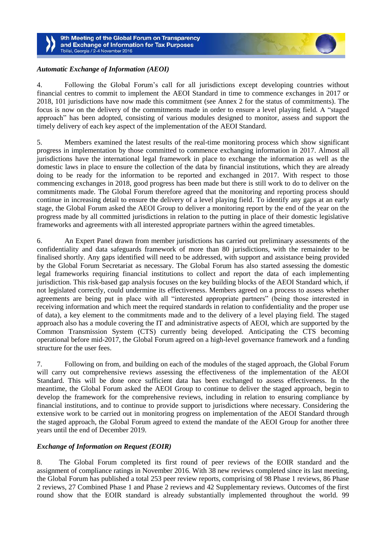

# *Automatic Exchange of Information (AEOI)*

4. Following the Global Forum's call for all jurisdictions except developing countries without financial centres to commit to implement the AEOI Standard in time to commence exchanges in 2017 or 2018, 101 jurisdictions have now made this commitment (see Annex 2 for the status of commitments). The focus is now on the delivery of the commitments made in order to ensure a level playing field. A "staged approach" has been adopted, consisting of various modules designed to monitor, assess and support the timely delivery of each key aspect of the implementation of the AEOI Standard.

5. Members examined the latest results of the real-time monitoring process which show significant progress in implementation by those committed to commence exchanging information in 2017. Almost all jurisdictions have the international legal framework in place to exchange the information as well as the domestic laws in place to ensure the collection of the data by financial institutions, which they are already doing to be ready for the information to be reported and exchanged in 2017. With respect to those commencing exchanges in 2018, good progress has been made but there is still work to do to deliver on the commitments made. The Global Forum therefore agreed that the monitoring and reporting process should continue in increasing detail to ensure the delivery of a level playing field. To identify any gaps at an early stage, the Global Forum asked the AEOI Group to deliver a monitoring report by the end of the year on the progress made by all committed jurisdictions in relation to the putting in place of their domestic legislative frameworks and agreements with all interested appropriate partners within the agreed timetables.

6. An Expert Panel drawn from member jurisdictions has carried out preliminary assessments of the confidentiality and data safeguards framework of more than 80 jurisdictions, with the remainder to be finalised shortly. Any gaps identified will need to be addressed, with support and assistance being provided by the Global Forum Secretariat as necessary. The Global Forum has also started assessing the domestic legal frameworks requiring financial institutions to collect and report the data of each implementing jurisdiction. This risk-based gap analysis focuses on the key building blocks of the AEOI Standard which, if not legislated correctly, could undermine its effectiveness. Members agreed on a process to assess whether agreements are being put in place with all "interested appropriate partners" (being those interested in receiving information and which meet the required standards in relation to confidentiality and the proper use of data), a key element to the commitments made and to the delivery of a level playing field. The staged approach also has a module covering the IT and administrative aspects of AEOI, which are supported by the Common Transmission System (CTS) currently being developed. Anticipating the CTS becoming operational before mid-2017, the Global Forum agreed on a high-level governance framework and a funding structure for the user fees.

7. Following on from, and building on each of the modules of the staged approach, the Global Forum will carry out comprehensive reviews assessing the effectiveness of the implementation of the AEOI Standard. This will be done once sufficient data has been exchanged to assess effectiveness. In the meantime, the Global Forum asked the AEOI Group to continue to deliver the staged approach, begin to develop the framework for the comprehensive reviews, including in relation to ensuring compliance by financial institutions, and to continue to provide support to jurisdictions where necessary. Considering the extensive work to be carried out in monitoring progress on implementation of the AEOI Standard through the staged approach, the Global Forum agreed to extend the mandate of the AEOI Group for another three years until the end of December 2019.

## *Exchange of Information on Request (EOIR)*

8. The Global Forum completed its first round of peer reviews of the EOIR standard and the assignment of compliance ratings in November 2016. With 38 new reviews completed since its last meeting, the Global Forum has published a total 253 peer review reports, comprising of 98 Phase 1 reviews, 86 Phase 2 reviews, 27 Combined Phase 1 and Phase 2 reviews and 42 Supplementary reviews. Outcomes of the first round show that the EOIR standard is already substantially implemented throughout the world. 99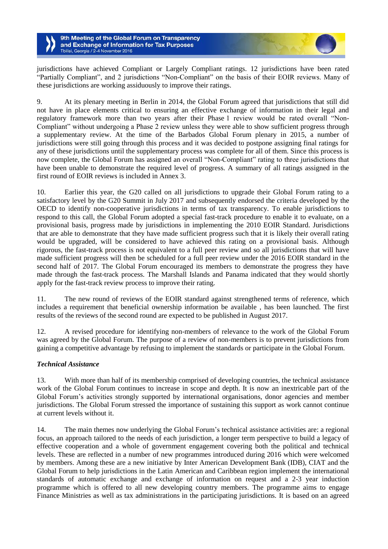jurisdictions have achieved Compliant or Largely Compliant ratings. 12 jurisdictions have been rated "Partially Compliant", and 2 jurisdictions "Non-Compliant" on the basis of their EOIR reviews. Many of these jurisdictions are working assiduously to improve their ratings.

9. At its plenary meeting in Berlin in 2014, the Global Forum agreed that jurisdictions that still did not have in place elements critical to ensuring an effective exchange of information in their legal and regulatory framework more than two years after their Phase 1 review would be rated overall "Non-Compliant" without undergoing a Phase 2 review unless they were able to show sufficient progress through a supplementary review. At the time of the Barbados Global Forum plenary in 2015, a number of jurisdictions were still going through this process and it was decided to postpone assigning final ratings for any of these jurisdictions until the supplementary process was complete for all of them. Since this process is now complete, the Global Forum has assigned an overall "Non-Compliant" rating to three jurisdictions that have been unable to demonstrate the required level of progress. A summary of all ratings assigned in the first round of EOIR reviews is included in Annex 3.

10. Earlier this year, the G20 called on all jurisdictions to upgrade their Global Forum rating to a satisfactory level by the G20 Summit in July 2017 and subsequently endorsed the criteria developed by the OECD to identify non-cooperative jurisdictions in terms of tax transparency. To enable jurisdictions to respond to this call, the Global Forum adopted a special fast-track procedure to enable it to evaluate, on a provisional basis, progress made by jurisdictions in implementing the 2010 EOIR Standard. Jurisdictions that are able to demonstrate that they have made sufficient progress such that it is likely their overall rating would be upgraded, will be considered to have achieved this rating on a provisional basis. Although rigorous, the fast-track process is not equivalent to a full peer review and so all jurisdictions that will have made sufficient progress will then be scheduled for a full peer review under the 2016 EOIR standard in the second half of 2017. The Global Forum encouraged its members to demonstrate the progress they have made through the fast-track process. The Marshall Islands and Panama indicated that they would shortly apply for the fast-track review process to improve their rating.

11. The new round of reviews of the EOIR standard against strengthened terms of reference, which includes a requirement that beneficial ownership information be available , has been launched. The first results of the reviews of the second round are expected to be published in August 2017.

12. A revised procedure for identifying non-members of relevance to the work of the Global Forum was agreed by the Global Forum. The purpose of a review of non-members is to prevent jurisdictions from gaining a competitive advantage by refusing to implement the standards or participate in the Global Forum.

## *Technical Assistance*

13. With more than half of its membership comprised of developing countries, the technical assistance work of the Global Forum continues to increase in scope and depth. It is now an inextricable part of the Global Forum's activities strongly supported by international organisations, donor agencies and member jurisdictions. The Global Forum stressed the importance of sustaining this support as work cannot continue at current levels without it.

14. The main themes now underlying the Global Forum's technical assistance activities are: a regional focus, an approach tailored to the needs of each jurisdiction, a longer term perspective to build a legacy of effective cooperation and a whole of government engagement covering both the political and technical levels. These are reflected in a number of new programmes introduced during 2016 which were welcomed by members. Among these are a new initiative by Inter American Development Bank (IDB), CIAT and the Global Forum to help jurisdictions in the Latin American and Caribbean region implement the international standards of automatic exchange and exchange of information on request and a 2-3 year induction programme which is offered to all new developing country members. The programme aims to engage Finance Ministries as well as tax administrations in the participating jurisdictions. It is based on an agreed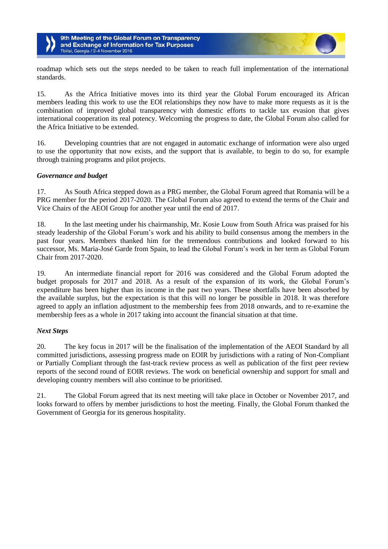

roadmap which sets out the steps needed to be taken to reach full implementation of the international standards.

15. As the Africa Initiative moves into its third year the Global Forum encouraged its African members leading this work to use the EOI relationships they now have to make more requests as it is the combination of improved global transparency with domestic efforts to tackle tax evasion that gives international cooperation its real potency. Welcoming the progress to date, the Global Forum also called for the Africa Initiative to be extended.

16. Developing countries that are not engaged in automatic exchange of information were also urged to use the opportunity that now exists, and the support that is available, to begin to do so, for example through training programs and pilot projects.

## *Governance and budget*

17. As South Africa stepped down as a PRG member, the Global Forum agreed that Romania will be a PRG member for the period 2017-2020. The Global Forum also agreed to extend the terms of the Chair and Vice Chairs of the AEOI Group for another year until the end of 2017.

18. In the last meeting under his chairmanship, Mr. Kosie Louw from South Africa was praised for his steady leadership of the Global Forum's work and his ability to build consensus among the members in the past four years. Members thanked him for the tremendous contributions and looked forward to his successor, Ms. Maria-José Garde from Spain, to lead the Global Forum's work in her term as Global Forum Chair from 2017-2020.

19. An intermediate financial report for 2016 was considered and the Global Forum adopted the budget proposals for 2017 and 2018. As a result of the expansion of its work, the Global Forum's expenditure has been higher than its income in the past two years. These shortfalls have been absorbed by the available surplus, but the expectation is that this will no longer be possible in 2018. It was therefore agreed to apply an inflation adjustment to the membership fees from 2018 onwards, and to re-examine the membership fees as a whole in 2017 taking into account the financial situation at that time.

#### *Next Steps*

20. The key focus in 2017 will be the finalisation of the implementation of the AEOI Standard by all committed jurisdictions, assessing progress made on EOIR by jurisdictions with a rating of Non-Compliant or Partially Compliant through the fast-track review process as well as publication of the first peer review reports of the second round of EOIR reviews. The work on beneficial ownership and support for small and developing country members will also continue to be prioritised.

21. The Global Forum agreed that its next meeting will take place in October or November 2017, and looks forward to offers by member jurisdictions to host the meeting. Finally, the Global Forum thanked the Government of Georgia for its generous hospitality.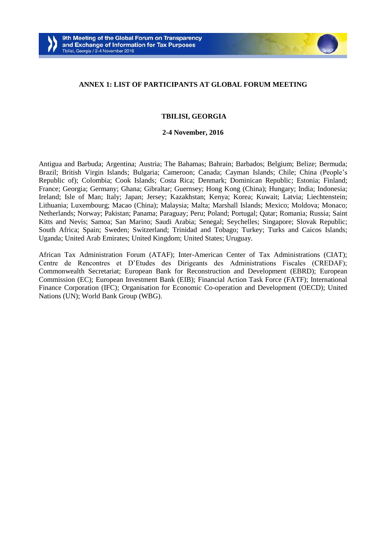

#### **ANNEX 1: LIST OF PARTICIPANTS AT GLOBAL FORUM MEETING**

#### **TBILISI, GEORGIA**

#### **2-4 November, 2016**

Antigua and Barbuda; Argentina; Austria; The Bahamas; Bahrain; Barbados; Belgium; Belize; Bermuda; Brazil; British Virgin Islands; Bulgaria; Cameroon; Canada; Cayman Islands; Chile; China (People's Republic of); Colombia; Cook Islands; Costa Rica; Denmark; Dominican Republic; Estonia; Finland; France; Georgia; Germany; Ghana; Gibraltar; Guernsey; Hong Kong (China); Hungary; India; Indonesia; Ireland; Isle of Man; Italy; Japan; Jersey; Kazakhstan; Kenya; Korea; Kuwait; Latvia; Liechtenstein; Lithuania; Luxembourg; Macao (China); Malaysia; Malta; Marshall Islands; Mexico; Moldova; Monaco; Netherlands; Norway; Pakistan; Panama; Paraguay; Peru; Poland; Portugal; Qatar; Romania; Russia; Saint Kitts and Nevis; Samoa; San Marino; Saudi Arabia; Senegal; Seychelles; Singapore; Slovak Republic; South Africa; Spain; Sweden; Switzerland; Trinidad and Tobago; Turkey; Turks and Caicos Islands; Uganda; United Arab Emirates; United Kingdom; United States; Uruguay.

African Tax Administration Forum (ATAF); Inter-American Center of Tax Administrations (CIAT); Centre de Rencontres et D'Etudes des Dirigeants des Administrations Fiscales (CREDAF); Commonwealth Secretariat; European Bank for Reconstruction and Development (EBRD); European Commission (EC); European Investment Bank (EIB); Financial Action Task Force (FATF); International Finance Corporation (IFC); Organisation for Economic Co-operation and Development (OECD); United Nations (UN); World Bank Group (WBG).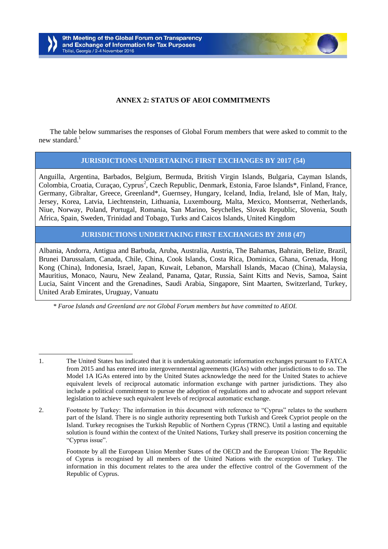

## **ANNEX 2: STATUS OF AEOI COMMITMENTS**

The table below summarises the responses of Global Forum members that were asked to commit to the new standard. $1$ 

## **JURISDICTIONS UNDERTAKING FIRST EXCHANGES BY 2017 (54)**

Anguilla, Argentina, Barbados, Belgium, Bermuda, British Virgin Islands, Bulgaria, Cayman Islands, Colombia, Croatia, Curaçao, Cyprus<sup>2</sup>, Czech Republic, Denmark, Estonia, Faroe Islands\*, Finland, France, Germany, Gibraltar, Greece, Greenland\*, Guernsey, Hungary, Iceland, India, Ireland, Isle of Man, Italy, Jersey, Korea, Latvia, Liechtenstein, Lithuania, Luxembourg, Malta, Mexico, Montserrat, Netherlands, Niue, Norway, Poland, Portugal, Romania, San Marino, Seychelles, Slovak Republic, Slovenia, South Africa, Spain, Sweden, Trinidad and Tobago, Turks and Caicos Islands, United Kingdom

**JURISDICTIONS UNDERTAKING FIRST EXCHANGES BY 2018 (47)**

Albania, Andorra, Antigua and Barbuda, Aruba, Australia, Austria, The Bahamas, Bahrain, Belize, Brazil, Brunei Darussalam, Canada, Chile, China, Cook Islands, Costa Rica, Dominica, Ghana, Grenada, Hong Kong (China), Indonesia, Israel, Japan, Kuwait, Lebanon, Marshall Islands, Macao (China), Malaysia, Mauritius, Monaco, Nauru, New Zealand, Panama, Qatar, Russia, Saint Kitts and Nevis, Samoa, Saint Lucia, Saint Vincent and the Grenadines, Saudi Arabia, Singapore, Sint Maarten, Switzerland, Turkey, United Arab Emirates, Uruguay, Vanuatu

*\* Faroe Islands and Greenland are not Global Forum members but have committed to AEOI.*

<sup>1.</sup> The United States has indicated that it is undertaking automatic information exchanges pursuant to FATCA from 2015 and has entered into intergovernmental agreements (IGAs) with other jurisdictions to do so. The Model 1A IGAs entered into by the United States acknowledge the need for the United States to achieve equivalent levels of reciprocal automatic information exchange with partner jurisdictions. They also include a political commitment to pursue the adoption of regulations and to advocate and support relevant legislation to achieve such equivalent levels of reciprocal automatic exchange.

<sup>2.</sup> Footnote by Turkey: The information in this document with reference to "Cyprus" relates to the southern part of the Island. There is no single authority representing both Turkish and Greek Cypriot people on the Island. Turkey recognises the Turkish Republic of Northern Cyprus (TRNC). Until a lasting and equitable solution is found within the context of the United Nations, Turkey shall preserve its position concerning the "Cyprus issue".

Footnote by all the European Union Member States of the OECD and the European Union: The Republic of Cyprus is recognised by all members of the United Nations with the exception of Turkey. The information in this document relates to the area under the effective control of the Government of the Republic of Cyprus.